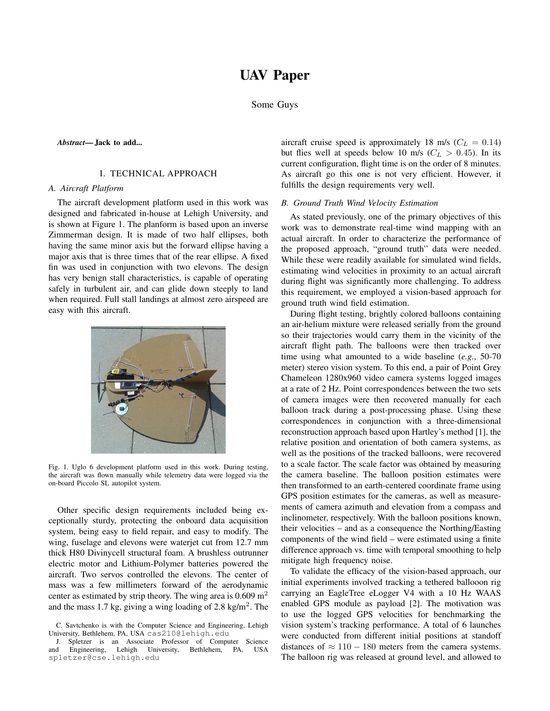# UAV Paper

Some Guys

*Abstract*— Jack to add...

# I. TECHNICAL APPROACH

## *A. Aircraft Platform*

The aircraft development platform used in this work was designed and fabricated in-house at Lehigh University, and is shown at Figure 1. The planform is based upon an inverse Zimmerman design. It is made of two half ellipses, both having the same minor axis but the forward ellipse having a major axis that is three times that of the rear ellipse. A fixed fin was used in conjunction with two elevons. The design has very benign stall characteristics, is capable of operating safely in turbulent air, and can glide down steeply to land when required. Full stall landings at almost zero airspeed are easy with this aircraft.



Fig. 1. Uglo 6 development platform used in this work. During testing, the aircraft was flown manually while telemetry data were logged via the on-board Piccolo SL autopilot system.

Other specific design requirements included being exceptionally sturdy, protecting the onboard data acquisition system, being easy to field repair, and easy to modify. The wing, fuselage and elevons were waterjet cut from 12.7 mm thick H80 Divinycell structural foam. A brushless outrunner electric motor and Lithium-Polymer batteries powered the aircraft. Two servos controlled the elevons. The center of mass was a few millimeters forward of the aerodynamic center as estimated by strip theory. The wing area is  $0.609 \text{ m}^2$ and the mass 1.7 kg, giving a wing loading of 2.8 kg/m<sup>2</sup>. The

aircraft cruise speed is approximately 18 m/s ( $C_L = 0.14$ ) but flies well at speeds below 10 m/s ( $C_L > 0.45$ ). In its current configuration, flight time is on the order of 8 minutes. As aircraft go this one is not very efficient. However, it fulfills the design requirements very well.

## *B. Ground Truth Wind Velocity Estimation*

As stated previously, one of the primary objectives of this work was to demonstrate real-time wind mapping with an actual aircraft. In order to characterize the performance of the proposed approach, "ground truth" data were needed. While these were readily available for simulated wind fields, estimating wind velocities in proximity to an actual aircraft during flight was significantly more challenging. To address this requirement, we employed a vision-based approach for ground truth wind field estimation.

During flight testing, brightly colored balloons containing an air-helium mixture were released serially from the ground so their trajectories would carry them in the vicinity of the aircraft flight path. The balloons were then tracked over time using what amounted to a wide baseline (*e.g.*, 50-70 meter) stereo vision system. To this end, a pair of Point Grey Chameleon 1280x960 video camera systems logged images at a rate of 2 Hz. Point correspondences between the two sets of camera images were then recovered manually for each balloon track during a post-processing phase. Using these correspondences in conjunction with a three-dimensional reconstruction approach based upon Hartley's method [1], the relative position and orientation of both camera systems, as well as the positions of the tracked balloons, were recovered to a scale factor. The scale factor was obtained by measuring the camera baseline. The balloon position estimates were then transformed to an earth-centered coordinate frame using GPS position estimates for the cameras, as well as measurements of camera azimuth and elevation from a compass and inclinometer, respectively. With the balloon positions known, their velocities – and as a consequence the Northing/Easting components of the wind field – were estimated using a finite difference approach vs. time with temporal smoothing to help mitigate high frequency noise.

To validate the efficacy of the vision-based approach, our initial experiments involved tracking a tethered ballooon rig carrying an EagleTree eLogger V4 with a 10 Hz WAAS enabled GPS module as payload [2]. The motivation was to use the logged GPS velocities for benchmarking the vision system's tracking performance. A total of 6 launches were conducted from different initial positions at standoff distances of  $\approx 110 - 180$  meters from the camera systems. The balloon rig was released at ground level, and allowed to

C. Savtchenko is with the Computer Science and Engineering, Lehigh University, Bethlehem, PA, USA cas210@lehigh.edu

J. Spletzer is an Associate Professor of Computer Science<br>d Engineering, Lehigh University, Bethlehem, PA, USA and Engineering, Lehigh University, Bethlehem, PA, USA spletzer@cse.lehigh.edu